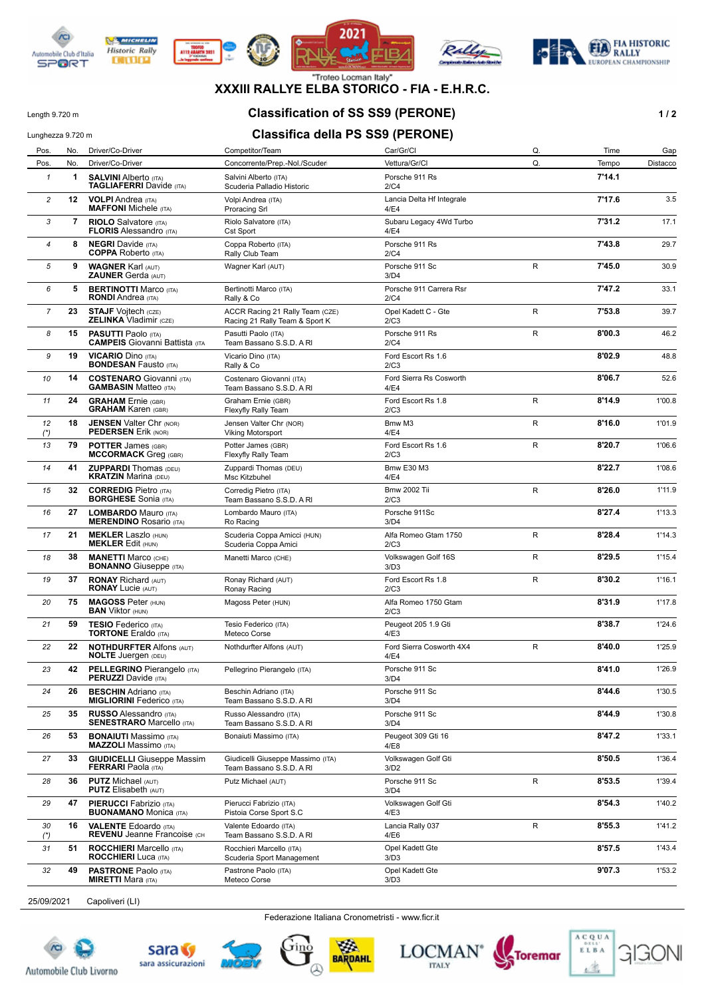









**XXXIII RALLYE ELBA STORICO - FIA - E.H.R.C.**

# Length 9.720 m **Classification of SS SS9 (PERONE) 1 / 2**

# Lunghezza 9.720 m **Classifica della PS SS9 (PERONE)**

| Pos.                     | No. | Driver/Co-Driver                                                    | Competitor/Team                                                   | Car/Gr/Cl                         | Q.           | Time   | Gap      |
|--------------------------|-----|---------------------------------------------------------------------|-------------------------------------------------------------------|-----------------------------------|--------------|--------|----------|
| Pos.                     | No. | Driver/Co-Driver                                                    | Concorrente/Prep.-Nol./Scuder                                     | Vettura/Gr/Cl                     | Q.           | Tempo  | Distacco |
| $\mathbf{1}$             | 1   | <b>SALVINI Alberto (ITA)</b><br><b>TAGLIAFERRI</b> Davide (ITA)     | Salvini Alberto (ITA)<br>Scuderia Palladio Historic               | Porsche 911 Rs<br>2/C4            |              | 7'14.1 |          |
| $\overline{c}$           | 12  | <b>VOLPI</b> Andrea (ITA)<br><b>MAFFONI</b> Michele (ITA)           | Volpi Andrea (ITA)<br><b>Proracing Srl</b>                        | Lancia Delta Hf Integrale<br>4/E4 |              | 7'17.6 | 3.5      |
| 3                        | 7   | <b>RIOLO</b> Salvatore (ITA)<br><b>FLORIS Alessandro (ITA)</b>      | Riolo Salvatore (ITA)<br><b>Cst Sport</b>                         | Subaru Legacy 4Wd Turbo<br>4/E4   |              | 7'31.2 | 17.1     |
| $\overline{\mathcal{A}}$ | 8   | <b>NEGRI</b> Davide (ITA)<br><b>COPPA</b> Roberto (ITA)             | Coppa Roberto (ITA)<br>Rally Club Team                            | Porsche 911 Rs<br>2/C4            |              | 7'43.8 | 29.7     |
| 5                        | 9   | <b>WAGNER Karl (AUT)</b><br><b>ZAUNER Gerda (AUT)</b>               | Wagner Karl (AUT)                                                 | Porsche 911 Sc<br>3/D4            | $\mathsf{R}$ | 7'45.0 | 30.9     |
| 6                        | 5   | <b>BERTINOTTI Marco (ITA)</b><br><b>RONDI</b> Andrea (ITA)          | Bertinotti Marco (ITA)<br>Rally & Co                              | Porsche 911 Carrera Rsr<br>2/C4   |              | 7'47.2 | 33.1     |
| $\overline{7}$           | 23  | <b>STAJF Voitech (CZE)</b><br><b>ZELINKA Vladimir (CZE)</b>         | ACCR Racing 21 Rally Team (CZE)<br>Racing 21 Rally Team & Sport K | Opel Kadett C - Gte<br>2/C3       | $\mathsf R$  | 7'53.8 | 39.7     |
| 8                        | 15  | <b>PASUTTI Paolo (ITA)</b><br><b>CAMPEIS</b> Giovanni Battista (ITA | Pasutti Paolo (ITA)<br>Team Bassano S.S.D. A RI                   | Porsche 911 Rs<br>2/C4            | R            | 8'00.3 | 46.2     |
| 9                        | 19  | <b>VICARIO Dino (ITA)</b><br><b>BONDESAN Fausto (ITA)</b>           | Vicario Dino (ITA)<br>Rally & Co                                  | Ford Escort Rs 1.6<br>2/C3        |              | 8'02.9 | 48.8     |
| 10                       | 14  | <b>COSTENARO</b> Giovanni (ITA)<br><b>GAMBASIN Matteo (ITA)</b>     | Costenaro Giovanni (ITA)<br>Team Bassano S.S.D. A RI              | Ford Sierra Rs Cosworth<br>4/E4   |              | 8'06.7 | 52.6     |
| 11                       | 24  | <b>GRAHAM</b> Ernie (GBR)<br><b>GRAHAM Karen (GBR)</b>              | Graham Ernie (GBR)<br>Flexyfly Rally Team                         | Ford Escort Rs 1.8<br>2/C3        | R            | 8'14.9 | 1'00.8   |
| 12<br>$(*)$              | 18  | <b>JENSEN Valter Chr (NOR)</b><br><b>PEDERSEN Erik (NOR)</b>        | Jensen Valter Chr (NOR)<br><b>Viking Motorsport</b>               | Bmw M3<br>4/E4                    | $\mathsf R$  | 8'16.0 | 1'01.9   |
| 13                       | 79  | <b>POTTER James (GBR)</b><br><b>MCCORMACK Greq (GBR)</b>            | Potter James (GBR)<br>Flexyfly Rally Team                         | Ford Escort Rs 1.6<br>2/C3        | R            | 8'20.7 | 1'06.6   |
| 14                       | 41  | <b>ZUPPARDI</b> Thomas (DEU)<br><b>KRATZIN Marina (DEU)</b>         | Zuppardi Thomas (DEU)<br>Msc Kitzbuhel                            | <b>Bmw E30 M3</b><br>4/E4         |              | 8'22.7 | 1'08.6   |
| 15                       | 32  | <b>CORREDIG Pietro (ITA)</b><br><b>BORGHESE</b> Sonia (ITA)         | Corredig Pietro (ITA)<br>Team Bassano S.S.D. A RI                 | <b>Bmw 2002 Tii</b><br>2/C3       | R            | 8'26.0 | 1'11.9   |
| 16                       | 27  | <b>LOMBARDO</b> Mauro (ITA)<br><b>MERENDINO Rosario (ITA)</b>       | Lombardo Mauro (ITA)<br>Ro Racing                                 | Porsche 911Sc<br>3/D4             |              | 8'27.4 | 1'13.3   |
| 17                       | 21  | <b>MEKLER Laszlo (HUN)</b><br><b>MEKLER Edit (HUN)</b>              | Scuderia Coppa Amicci (HUN)<br>Scuderia Coppa Amici               | Alfa Romeo Gtam 1750<br>2/C3      | R            | 8'28.4 | 1'14.3   |
| 18                       | 38  | <b>MANETTI Marco (CHE)</b><br><b>BONANNO</b> Giuseppe (ITA)         | Manetti Marco (CHE)                                               | Volkswagen Golf 16S<br>3/D3       | R            | 8'29.5 | 1'15.4   |
| 19                       | 37  | <b>RONAY Richard (AUT)</b><br><b>RONAY Lucie (AUT)</b>              | Ronay Richard (AUT)<br>Ronay Racing                               | Ford Escort Rs 1.8<br>2/C3        | $\mathsf{R}$ | 8'30.2 | 1'16.1   |
| 20                       | 75  | <b>MAGOSS Peter (HUN)</b><br><b>BAN Viktor (HUN)</b>                | Magoss Peter (HUN)                                                | Alfa Romeo 1750 Gtam<br>2/C3      |              | 8'31.9 | 1'17.8   |
| 21                       | 59  | <b>TESIO</b> Federico (ITA)<br><b>TORTONE</b> Eraldo (ITA)          | Tesio Federico (ITA)<br>Meteco Corse                              | Peugeot 205 1.9 Gti<br>4/E3       |              | 8'38.7 | 1'24.6   |
| 22                       | 22  | <b>NOTHDURFTER Alfons (AUT)</b><br><b>NOLTE</b> Juergen (DEU)       | Nothdurfter Alfons (AUT)                                          | Ford Sierra Cosworth 4X4<br>4/E4  | R            | 8'40.0 | 1'25.9   |
| 23                       | 42  | <b>PELLEGRINO</b> Pierangelo (ITA)<br><b>PERUZZI</b> Davide (ITA)   | Pellegrino Pierangelo (ITA)                                       | Porsche 911 Sc<br>3/D4            |              | 8'41.0 | 1'26.9   |
| 24                       | 26  | <b>BESCHIN</b> Adriano (ITA)<br><b>MIGLIORINI Federico (ITA)</b>    | Beschin Adriano (ITA)<br>Team Bassano S.S.D. A RI                 | Porsche 911 Sc<br>3/D4            |              | 8'44.6 | 1'30.5   |
| 25                       | 35  | <b>RUSSO Alessandro</b> (ITA)<br><b>SENESTRARO</b> Marcello (ITA)   | Russo Alessandro (ITA)<br>Team Bassano S.S.D. A RI                | Porsche 911 Sc<br>3/D4            |              | 8'44.9 | 1'30.8   |
| 26                       | 53  | <b>BONAIUTI</b> Massimo (ITA)<br><b>MAZZOLI</b> Massimo (ITA)       | Bonaiuti Massimo (ITA)                                            | Peugeot 309 Gti 16<br>4/E8        |              | 8'47.2 | 1'33.1   |
| 27                       | 33  | <b>GIUDICELLI</b> Giuseppe Massim<br><b>FERRARI</b> Paola (ITA)     | Giudicelli Giuseppe Massimo (ITA)<br>Team Bassano S.S.D. A RI     | Volkswagen Golf Gti<br>3/D2       |              | 8'50.5 | 1'36.4   |
| 28                       | 36  | <b>PUTZ Michael (AUT)</b><br><b>PUTZ</b> Elisabeth (AUT)            | Putz Michael (AUT)                                                | Porsche 911 Sc<br>3/D4            | R            | 8'53.5 | 1'39.4   |
| 29                       | 47  | <b>PIERUCCI</b> Fabrizio (ITA)<br><b>BUONAMANO Monica (ITA)</b>     | Pierucci Fabrizio (ITA)<br>Pistoia Corse Sport S.C                | Volkswagen Golf Gti<br>4/E3       |              | 8'54.3 | 1'40.2   |
| 30<br>$(*)$              | 16  | <b>VALENTE Edoardo</b> (ITA)<br><b>REVENU Jeanne Francoise (CH)</b> | Valente Edoardo (ITA)<br>Team Bassano S.S.D. A RI                 | Lancia Rally 037<br>4/E6          | R            | 8'55.3 | 1'41.2   |
| 31                       | 51  | <b>ROCCHIERI</b> Marcello (ITA)<br><b>ROCCHIERI</b> Luca (ITA)      | Rocchieri Marcello (ITA)<br>Scuderia Sport Management             | Opel Kadett Gte<br>3/D3           |              | 8'57.5 | 1'43.4   |
| 32                       | 49  | <b>PASTRONE Paolo (ITA)</b><br><b>MIRETTI</b> Mara (ITA)            | Pastrone Paolo (ITA)<br>Meteco Corse                              | Opel Kadett Gte<br>3/D3           |              | 9'07.3 | 1'53.2   |
|                          |     |                                                                     |                                                                   |                                   |              |        |          |

25/09/2021 Capoliveri (LI)

Federazione Italiana Cronometristi - www.ficr.it